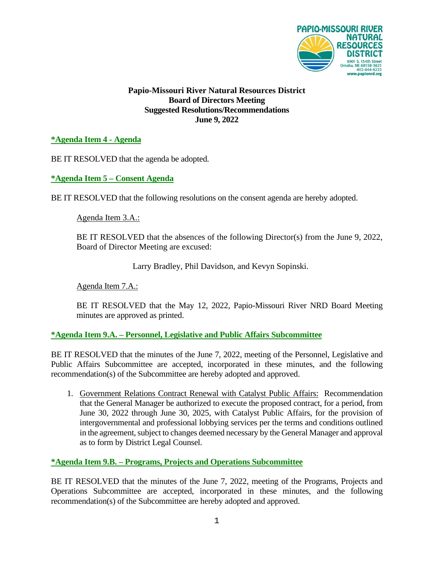

### **Papio-Missouri River Natural Resources District Board of Directors Meeting Suggested Resolutions/Recommendations June 9, 2022**

## **\*Agenda Item 4 - Agenda**

BE IT RESOLVED that the agenda be adopted.

### **\*Agenda Item 5 – Consent Agenda**

BE IT RESOLVED that the following resolutions on the consent agenda are hereby adopted.

Agenda Item 3.A.:

BE IT RESOLVED that the absences of the following Director(s) from the June 9, 2022, Board of Director Meeting are excused:

Larry Bradley, Phil Davidson, and Kevyn Sopinski.

Agenda Item 7.A.:

BE IT RESOLVED that the May 12, 2022, Papio-Missouri River NRD Board Meeting minutes are approved as printed.

### **\*Agenda Item 9.A. – Personnel, Legislative and Public Affairs Subcommittee**

BE IT RESOLVED that the minutes of the June 7, 2022, meeting of the Personnel, Legislative and Public Affairs Subcommittee are accepted, incorporated in these minutes, and the following recommendation(s) of the Subcommittee are hereby adopted and approved.

1. Government Relations Contract Renewal with Catalyst Public Affairs: Recommendation that the General Manager be authorized to execute the proposed contract, for a period, from June 30, 2022 through June 30, 2025, with Catalyst Public Affairs, for the provision of intergovernmental and professional lobbying services per the terms and conditions outlined in the agreement, subject to changes deemed necessary by the General Manager and approval as to form by District Legal Counsel.

### **\*Agenda Item 9.B. – Programs, Projects and Operations Subcommittee**

BE IT RESOLVED that the minutes of the June 7, 2022, meeting of the Programs, Projects and Operations Subcommittee are accepted, incorporated in these minutes, and the following recommendation(s) of the Subcommittee are hereby adopted and approved.